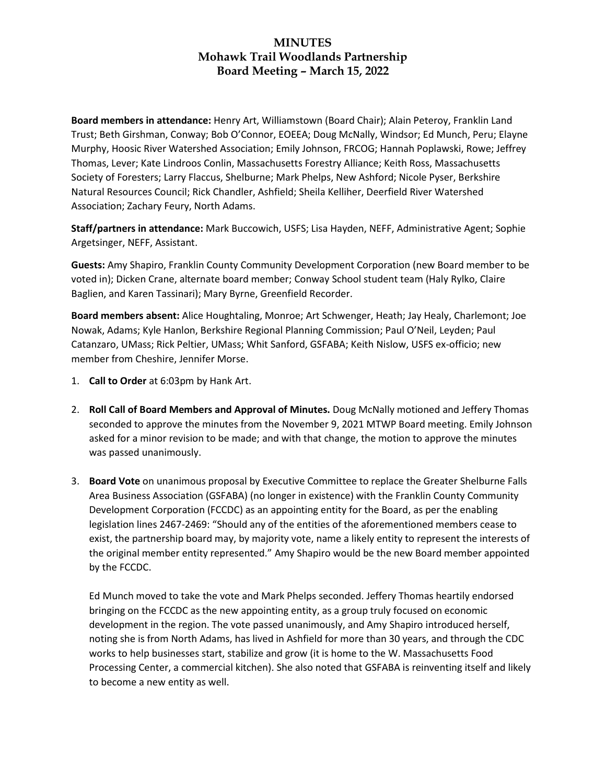**Board members in attendance:** Henry Art, Williamstown (Board Chair); Alain Peteroy, Franklin Land Trust; Beth Girshman, Conway; Bob O'Connor, EOEEA; Doug McNally, Windsor; Ed Munch, Peru; Elayne Murphy, Hoosic River Watershed Association; Emily Johnson, FRCOG; Hannah Poplawski, Rowe; Jeffrey Thomas, Lever; Kate Lindroos Conlin, Massachusetts Forestry Alliance; Keith Ross, Massachusetts Society of Foresters; Larry Flaccus, Shelburne; Mark Phelps, New Ashford; Nicole Pyser, Berkshire Natural Resources Council; Rick Chandler, Ashfield; Sheila Kelliher, Deerfield River Watershed Association; Zachary Feury, North Adams.

**Staff/partners in attendance:** Mark Buccowich, USFS; Lisa Hayden, NEFF, Administrative Agent; Sophie Argetsinger, NEFF, Assistant.

**Guests:** Amy Shapiro, Franklin County Community Development Corporation (new Board member to be voted in); Dicken Crane, alternate board member; Conway School student team (Haly Rylko, Claire Baglien, and Karen Tassinari); Mary Byrne, Greenfield Recorder.

**Board members absent:** Alice Houghtaling, Monroe; Art Schwenger, Heath; Jay Healy, Charlemont; Joe Nowak, Adams; Kyle Hanlon, Berkshire Regional Planning Commission; Paul O'Neil, Leyden; Paul Catanzaro, UMass; Rick Peltier, UMass; Whit Sanford, GSFABA; Keith Nislow, USFS ex-officio; new member from Cheshire, Jennifer Morse.

- 1. **Call to Order** at 6:03pm by Hank Art.
- 2. **Roll Call of Board Members and Approval of Minutes.** Doug McNally motioned and Jeffery Thomas seconded to approve the minutes from the November 9, 2021 MTWP Board meeting. Emily Johnson asked for a minor revision to be made; and with that change, the motion to approve the minutes was passed unanimously.
- 3. **Board Vote** on unanimous proposal by Executive Committee to replace the Greater Shelburne Falls Area Business Association (GSFABA) (no longer in existence) with the Franklin County Community Development Corporation (FCCDC) as an appointing entity for the Board, as per the enabling legislation lines 2467-2469: "Should any of the entities of the aforementioned members cease to exist, the partnership board may, by majority vote, name a likely entity to represent the interests of the original member entity represented." Amy Shapiro would be the new Board member appointed by the FCCDC.

Ed Munch moved to take the vote and Mark Phelps seconded. Jeffery Thomas heartily endorsed bringing on the FCCDC as the new appointing entity, as a group truly focused on economic development in the region. The vote passed unanimously, and Amy Shapiro introduced herself, noting she is from North Adams, has lived in Ashfield for more than 30 years, and through the CDC works to help businesses start, stabilize and grow (it is home to the W. Massachusetts Food Processing Center, a commercial kitchen). She also noted that GSFABA is reinventing itself and likely to become a new entity as well.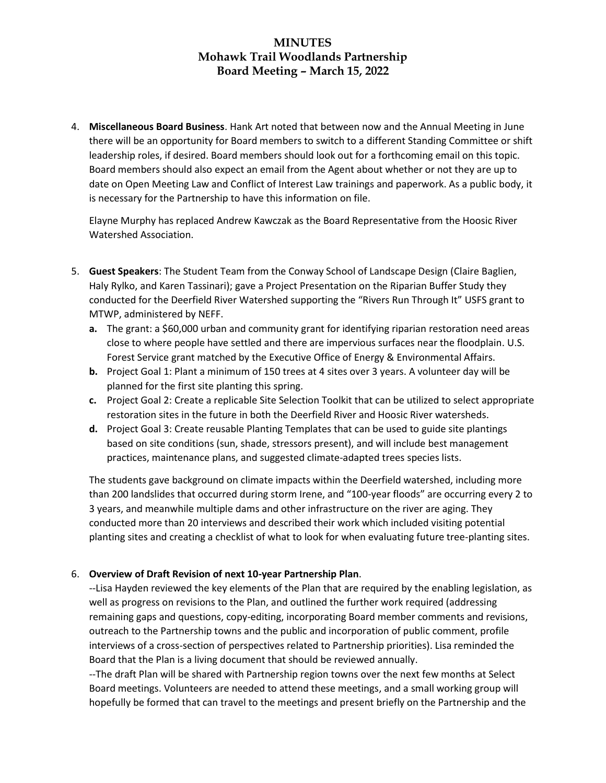4. **Miscellaneous Board Business**. Hank Art noted that between now and the Annual Meeting in June there will be an opportunity for Board members to switch to a different Standing Committee or shift leadership roles, if desired. Board members should look out for a forthcoming email on this topic. Board members should also expect an email from the Agent about whether or not they are up to date on Open Meeting Law and Conflict of Interest Law trainings and paperwork. As a public body, it is necessary for the Partnership to have this information on file.

Elayne Murphy has replaced Andrew Kawczak as the Board Representative from the Hoosic River Watershed Association.

- 5. **Guest Speakers**: The Student Team from the Conway School of Landscape Design (Claire Baglien, Haly Rylko, and Karen Tassinari); gave a Project Presentation on the Riparian Buffer Study they conducted for the Deerfield River Watershed supporting the "Rivers Run Through It" USFS grant to MTWP, administered by NEFF.
	- **a.** The grant: a \$60,000 urban and community grant for identifying riparian restoration need areas close to where people have settled and there are impervious surfaces near the floodplain. U.S. Forest Service grant matched by the Executive Office of Energy & Environmental Affairs.
	- **b.** Project Goal 1: Plant a minimum of 150 trees at 4 sites over 3 years. A volunteer day will be planned for the first site planting this spring.
	- **c.** Project Goal 2: Create a replicable Site Selection Toolkit that can be utilized to select appropriate restoration sites in the future in both the Deerfield River and Hoosic River watersheds.
	- **d.** Project Goal 3: Create reusable Planting Templates that can be used to guide site plantings based on site conditions (sun, shade, stressors present), and will include best management practices, maintenance plans, and suggested climate-adapted trees species lists.

The students gave background on climate impacts within the Deerfield watershed, including more than 200 landslides that occurred during storm Irene, and "100-year floods" are occurring every 2 to 3 years, and meanwhile multiple dams and other infrastructure on the river are aging. They conducted more than 20 interviews and described their work which included visiting potential planting sites and creating a checklist of what to look for when evaluating future tree-planting sites.

### 6. **Overview of Draft Revision of next 10-year Partnership Plan**.

--Lisa Hayden reviewed the key elements of the Plan that are required by the enabling legislation, as well as progress on revisions to the Plan, and outlined the further work required (addressing remaining gaps and questions, copy-editing, incorporating Board member comments and revisions, outreach to the Partnership towns and the public and incorporation of public comment, profile interviews of a cross-section of perspectives related to Partnership priorities). Lisa reminded the Board that the Plan is a living document that should be reviewed annually.

--The draft Plan will be shared with Partnership region towns over the next few months at Select Board meetings. Volunteers are needed to attend these meetings, and a small working group will hopefully be formed that can travel to the meetings and present briefly on the Partnership and the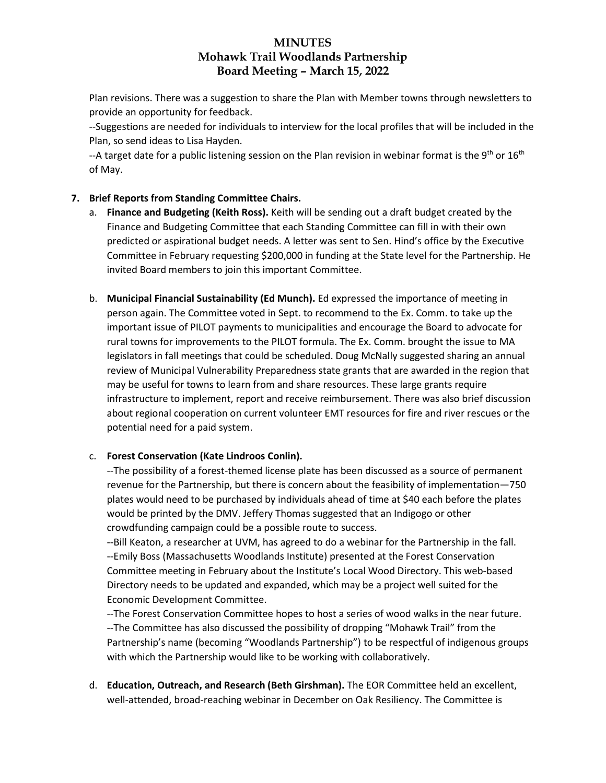Plan revisions. There was a suggestion to share the Plan with Member towns through newsletters to provide an opportunity for feedback.

--Suggestions are needed for individuals to interview for the local profiles that will be included in the Plan, so send ideas to Lisa Hayden.

--A target date for a public listening session on the Plan revision in webinar format is the 9<sup>th</sup> or 16<sup>th</sup> of May.

### **7. Brief Reports from Standing Committee Chairs.**

- a. **Finance and Budgeting (Keith Ross).** Keith will be sending out a draft budget created by the Finance and Budgeting Committee that each Standing Committee can fill in with their own predicted or aspirational budget needs. A letter was sent to Sen. Hind's office by the Executive Committee in February requesting \$200,000 in funding at the State level for the Partnership. He invited Board members to join this important Committee.
- b. **Municipal Financial Sustainability (Ed Munch).** Ed expressed the importance of meeting in person again. The Committee voted in Sept. to recommend to the Ex. Comm. to take up the important issue of PILOT payments to municipalities and encourage the Board to advocate for rural towns for improvements to the PILOT formula. The Ex. Comm. brought the issue to MA legislators in fall meetings that could be scheduled. Doug McNally suggested sharing an annual review of Municipal Vulnerability Preparedness state grants that are awarded in the region that may be useful for towns to learn from and share resources. These large grants require infrastructure to implement, report and receive reimbursement. There was also brief discussion about regional cooperation on current volunteer EMT resources for fire and river rescues or the potential need for a paid system.

#### c. **Forest Conservation (Kate Lindroos Conlin).**

--The possibility of a forest-themed license plate has been discussed as a source of permanent revenue for the Partnership, but there is concern about the feasibility of implementation—750 plates would need to be purchased by individuals ahead of time at \$40 each before the plates would be printed by the DMV. Jeffery Thomas suggested that an Indigogo or other crowdfunding campaign could be a possible route to success.

--Bill Keaton, a researcher at UVM, has agreed to do a webinar for the Partnership in the fall. --Emily Boss (Massachusetts Woodlands Institute) presented at the Forest Conservation Committee meeting in February about the Institute's Local Wood Directory. This web-based Directory needs to be updated and expanded, which may be a project well suited for the Economic Development Committee.

--The Forest Conservation Committee hopes to host a series of wood walks in the near future. --The Committee has also discussed the possibility of dropping "Mohawk Trail" from the Partnership's name (becoming "Woodlands Partnership") to be respectful of indigenous groups with which the Partnership would like to be working with collaboratively.

d. **Education, Outreach, and Research (Beth Girshman).** The EOR Committee held an excellent, well-attended, broad-reaching webinar in December on Oak Resiliency. The Committee is